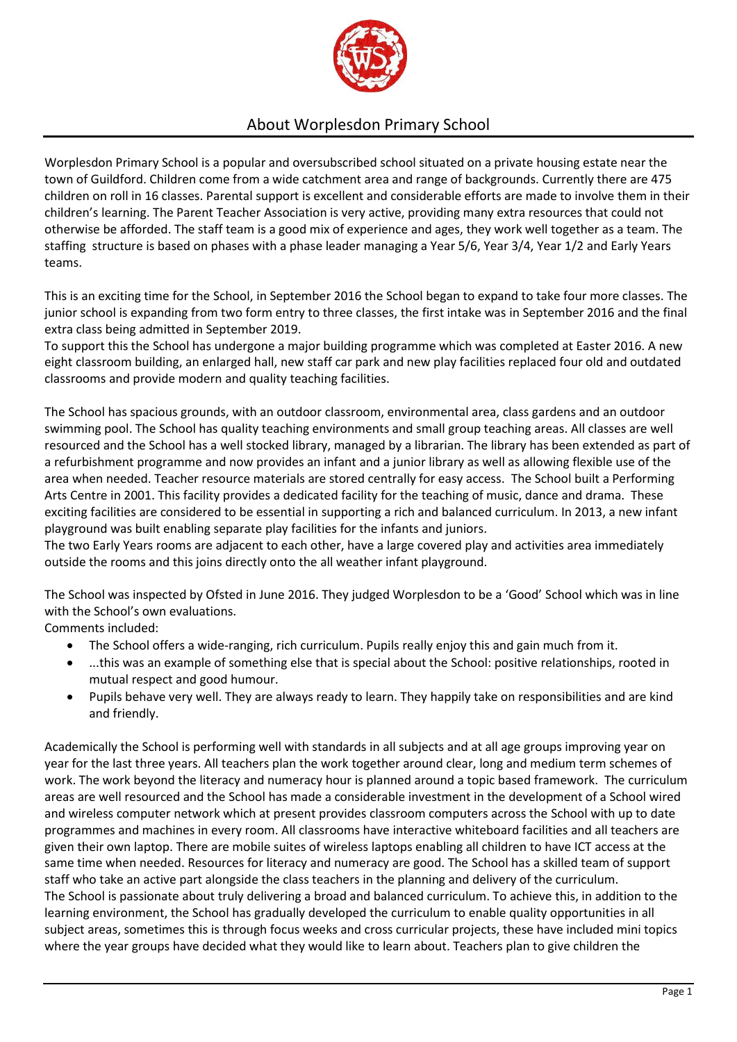

## About Worplesdon Primary School

Worplesdon Primary School is a popular and oversubscribed school situated on a private housing estate near the town of Guildford. Children come from a wide catchment area and range of backgrounds. Currently there are 475 children on roll in 16 classes. Parental support is excellent and considerable efforts are made to involve them in their children's learning. The Parent Teacher Association is very active, providing many extra resources that could not otherwise be afforded. The staff team is a good mix of experience and ages, they work well together as a team. The staffing structure is based on phases with a phase leader managing a Year 5/6, Year 3/4, Year 1/2 and Early Years teams.

This is an exciting time for the School, in September 2016 the School began to expand to take four more classes. The junior school is expanding from two form entry to three classes, the first intake was in September 2016 and the final extra class being admitted in September 2019.

To support this the School has undergone a major building programme which was completed at Easter 2016. A new eight classroom building, an enlarged hall, new staff car park and new play facilities replaced four old and outdated classrooms and provide modern and quality teaching facilities.

The School has spacious grounds, with an outdoor classroom, environmental area, class gardens and an outdoor swimming pool. The School has quality teaching environments and small group teaching areas. All classes are well resourced and the School has a well stocked library, managed by a librarian. The library has been extended as part of a refurbishment programme and now provides an infant and a junior library as well as allowing flexible use of the area when needed. Teacher resource materials are stored centrally for easy access. The School built a Performing Arts Centre in 2001. This facility provides a dedicated facility for the teaching of music, dance and drama. These exciting facilities are considered to be essential in supporting a rich and balanced curriculum. In 2013, a new infant playground was built enabling separate play facilities for the infants and juniors.

The two Early Years rooms are adjacent to each other, have a large covered play and activities area immediately outside the rooms and this joins directly onto the all weather infant playground.

The School was inspected by Ofsted in June 2016. They judged Worplesdon to be a 'Good' School which was in line with the School's own evaluations.

Comments included:

- The School offers a wide-ranging, rich curriculum. Pupils really enjoy this and gain much from it.
- ...this was an example of something else that is special about the School: positive relationships, rooted in mutual respect and good humour.
- Pupils behave very well. They are always ready to learn. They happily take on responsibilities and are kind and friendly.

Academically the School is performing well with standards in all subjects and at all age groups improving year on year for the last three years. All teachers plan the work together around clear, long and medium term schemes of work. The work beyond the literacy and numeracy hour is planned around a topic based framework. The curriculum areas are well resourced and the School has made a considerable investment in the development of a School wired and wireless computer network which at present provides classroom computers across the School with up to date programmes and machines in every room. All classrooms have interactive whiteboard facilities and all teachers are given their own laptop. There are mobile suites of wireless laptops enabling all children to have ICT access at the same time when needed. Resources for literacy and numeracy are good. The School has a skilled team of support staff who take an active part alongside the class teachers in the planning and delivery of the curriculum. The School is passionate about truly delivering a broad and balanced curriculum. To achieve this, in addition to the learning environment, the School has gradually developed the curriculum to enable quality opportunities in all subject areas, sometimes this is through focus weeks and cross curricular projects, these have included mini topics where the year groups have decided what they would like to learn about. Teachers plan to give children the